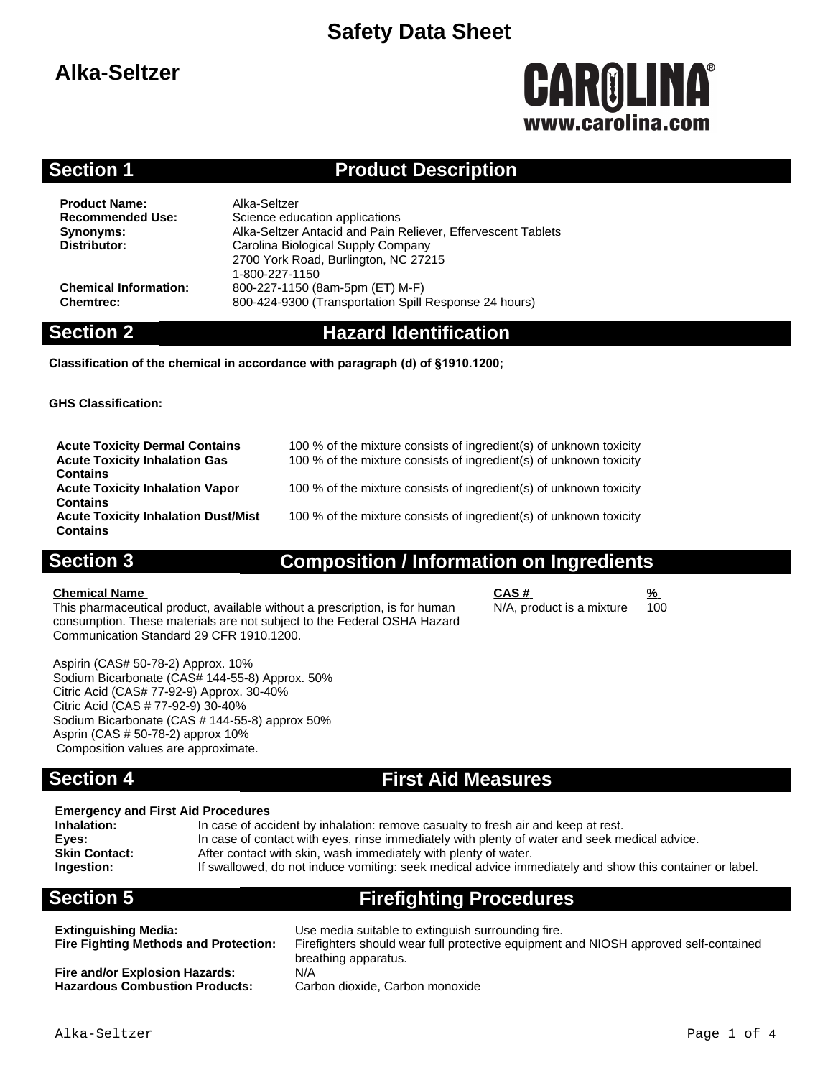# **Alka-Seltzer**

# CAROLINA® www.carolina.com

### **Section 1 Product Description**

**Product Name:** Alka-Seltzer<br> **Recommended Use:** Science edu

**Science education applications Synonyms:** Alka-Seltzer Antacid and Pain Reliever, Effervescent Tablets **Distributor:** Carolina Biological Supply Company 2700 York Road, Burlington, NC 27215 1-800-227-1150 **Chemical Information:** 800-227-1150 (8am-5pm (ET) M-F) **Chemtrec:** 800-424-9300 (Transportation Spill Response 24 hours)

### **Section 2 Hazard Identification**

**Classification of the chemical in accordance with paragraph (d) of §1910.1200;**

**GHS Classification:**

| <b>Acute Toxicity Dermal Contains</b>      | 100 % of the mixture consists of ingredient(s) of unknown toxicity |
|--------------------------------------------|--------------------------------------------------------------------|
| <b>Acute Toxicity Inhalation Gas</b>       | 100 % of the mixture consists of ingredient(s) of unknown toxicity |
| <b>Contains</b>                            |                                                                    |
| <b>Acute Toxicity Inhalation Vapor</b>     | 100 % of the mixture consists of ingredient(s) of unknown toxicity |
| <b>Contains</b>                            |                                                                    |
| <b>Acute Toxicity Inhalation Dust/Mist</b> | 100 % of the mixture consists of ingredient(s) of unknown toxicity |
| <b>Contains</b>                            |                                                                    |

### **Section 3 Composition / Information on Ingredients**

**Chemical Name CAS # %** This pharmaceutical product, available without a prescription, is for human consumption. These materials are not subject to the Federal OSHA Hazard Communication Standard 29 CFR 1910.1200.

N/A, product is a mixture

Aspirin (CAS# 50-78-2) Approx. 10% Sodium Bicarbonate (CAS# 144-55-8) Approx. 50% Citric Acid (CAS# 77-92-9) Approx. 30-40% Citric Acid (CAS # 77-92-9) 30-40% Sodium Bicarbonate (CAS # 144-55-8) approx 50% Asprin (CAS # 50-78-2) approx 10% Composition values are approximate.

### **Section 4 First Aid Measures**

#### **Emergency and First Aid Procedures**

**Inhalation:** In case of accident by inhalation: remove casualty to fresh air and keep at rest.<br>**Eyes:** In case of contact with eyes, rinse immediately with plenty of water and seek m **Eyes:** In case of contact with eyes, rinse immediately with plenty of water and seek medical advice.<br>**Skin Contact:** After contact with skin, wash immediately with plenty of water. After contact with skin, wash immediately with plenty of water. **Ingestion:** If swallowed, do not induce vomiting: seek medical advice immediately and show this container or label.

# **Section 5 Firefighting Procedures**

**Fire and/or Explosion Hazards:** N/A Hazardous Combustion Products: Carbon dioxide, Carbon monoxide

**Extinguishing Media:** Use media suitable to extinguish surrounding fire. Firefighters should wear full protective equipment and NIOSH approved self-contained breathing apparatus.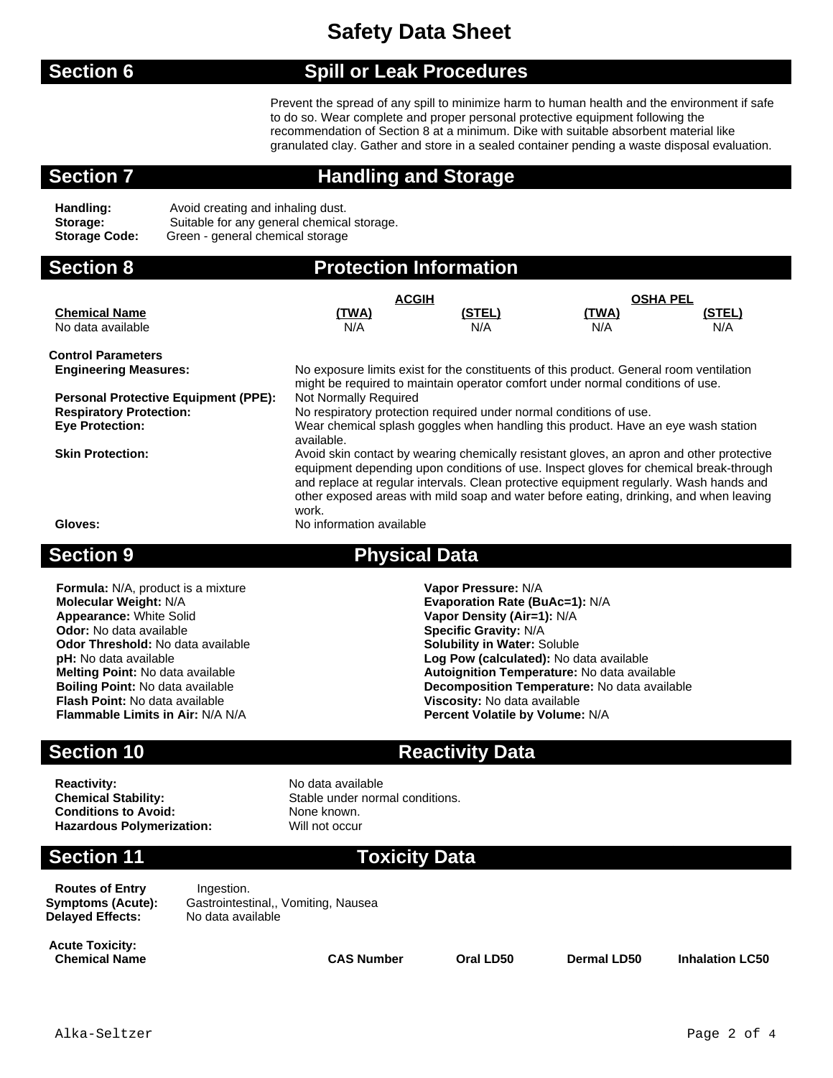#### **Section 6 Spill or Leak Procedures**

Prevent the spread of any spill to minimize harm to human health and the environment if safe to do so. Wear complete and proper personal protective equipment following the recommendation of Section 8 at a minimum. Dike with suitable absorbent material like granulated clay. Gather and store in a sealed container pending a waste disposal evaluation.

### **Section 7 Handling and Storage**

**Handling:** Avoid creating and inhaling dust. **Storage:** Suitable for any general chemical storage. **Storage Code:** Green - general chemical storage

| <b>Section 8</b>                            |                                                                                                                                                                                                                                                                                                                                                                                                            | <b>Protection Information</b> |                 |        |
|---------------------------------------------|------------------------------------------------------------------------------------------------------------------------------------------------------------------------------------------------------------------------------------------------------------------------------------------------------------------------------------------------------------------------------------------------------------|-------------------------------|-----------------|--------|
|                                             | <b>ACGIH</b>                                                                                                                                                                                                                                                                                                                                                                                               |                               | <b>OSHA PEL</b> |        |
| <b>Chemical Name</b>                        | (TWA)                                                                                                                                                                                                                                                                                                                                                                                                      | (STEL)                        | <u>(TWA)</u>    | (STEL) |
| No data available                           | N/A                                                                                                                                                                                                                                                                                                                                                                                                        | N/A                           | N/A             | N/A    |
| <b>Control Parameters</b>                   |                                                                                                                                                                                                                                                                                                                                                                                                            |                               |                 |        |
| <b>Engineering Measures:</b>                | No exposure limits exist for the constituents of this product. General room ventilation<br>might be required to maintain operator comfort under normal conditions of use.                                                                                                                                                                                                                                  |                               |                 |        |
| <b>Personal Protective Equipment (PPE):</b> | Not Normally Required                                                                                                                                                                                                                                                                                                                                                                                      |                               |                 |        |
| <b>Respiratory Protection:</b>              | No respiratory protection required under normal conditions of use.                                                                                                                                                                                                                                                                                                                                         |                               |                 |        |
| <b>Eye Protection:</b>                      | Wear chemical splash goggles when handling this product. Have an eye wash station<br>available.                                                                                                                                                                                                                                                                                                            |                               |                 |        |
| <b>Skin Protection:</b><br>Gloves:          | Avoid skin contact by wearing chemically resistant gloves, an apron and other protective<br>equipment depending upon conditions of use. Inspect gloves for chemical break-through<br>and replace at regular intervals. Clean protective equipment regularly. Wash hands and<br>other exposed areas with mild soap and water before eating, drinking, and when leaving<br>work.<br>No information available |                               |                 |        |
|                                             |                                                                                                                                                                                                                                                                                                                                                                                                            |                               |                 |        |

### **Section 9 Physical Data**

**Formula:** N/A, product is a mixture **Vapor Pressure:** N/A **Molecular Weight:** N/A **Evaporation Rate (BuAc=1): N/A**<br> **Appearance:** White Solid **Evapor Constructs Construct Constructs** Vapor Density (Air=1): N/A **Appearance:** White Solid **Vapor Density (Air=1):** N/A<br> **Odor:** No data available **Value 2008 Vapor Density (Air=1):** N/A **Odor Threshold:** No data available **pH:** No data available **Flash Point:** No data available **Viscosity:** No data available

**Specific Gravity: N/A<br><b>Solubility in Water:** Soluble Log Pow (calculated): No data available **Melting Point:** No data available **Autoignition Temperature:** No data available **Boiling Point:** No data available **Decomposition Temperature:** No data available **Percent Volatile by Volume: N/A** 

### **Section 10 Reactivity Data**

**Reactivity:** No data available **Chemical Stability:** Stable under normal conditions. **Conditions to Avoid:** None known.

**Hazardous Polymerization:** Will not occur

### **Section 11 Toxicity Data**

**Routes of Entry Server** Ingestion. **Delayed Effects:** 

**Symptoms (Acute):** Gastrointestinal,, Vomiting, Nausea<br>**Delaved Effects:** No data available

**Acute Toxicity: Chemical Name CAS Number Oral LD50 Dermal LD50 Inhalation LC50**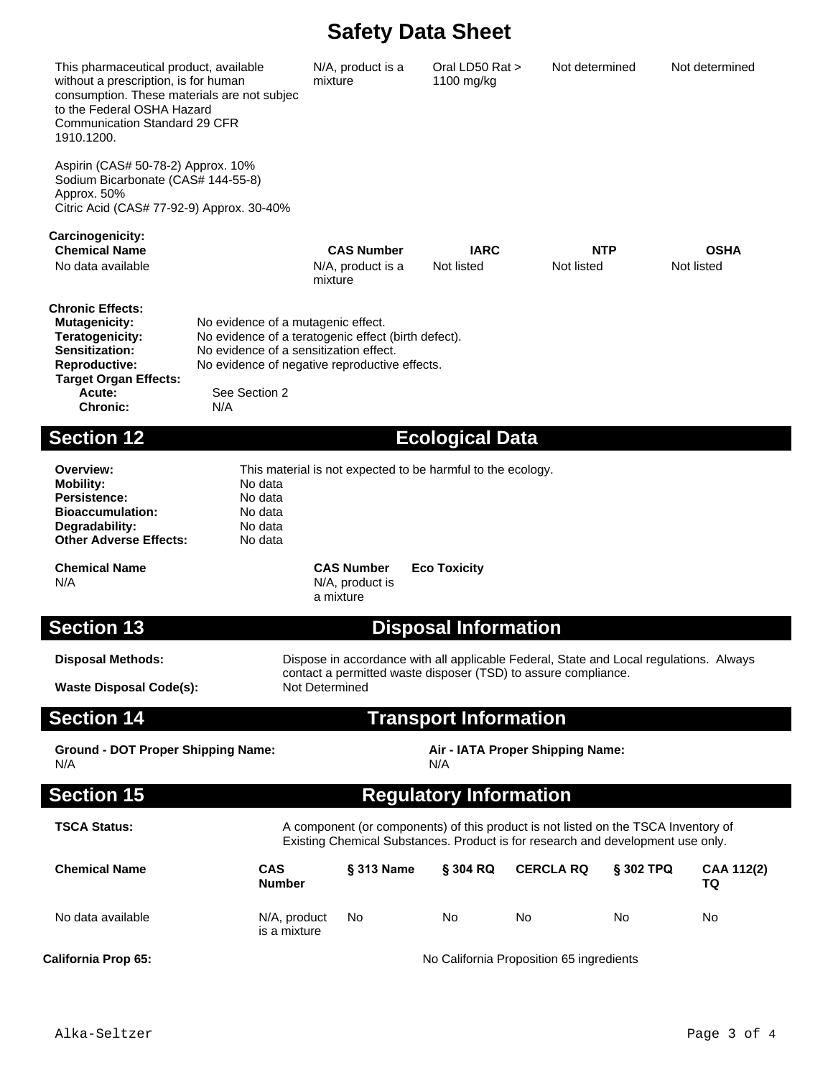Oral LD50 Rat > 1100 mg/kg

Not determined Not determined

This pharmaceutical product, available without a prescription, is for human consumption. These materials are not subject to the Federal OSHA Hazard Communication Standard 29 CFR 1910.1200. N/A, product is a mixture

Aspirin (CAS# 50-78-2) Approx. 10% Sodium Bicarbonate (CAS# 144-55-8) Approx. 50% Citric Acid (CAS# 77-92-9) Approx. 30-40%

**Carcinogenicity: Chemical Name CAS Number IARC NTP OSHA** No data available No example 3 and N/A, product is a mixture Not listed Not listed Not listed **Chronic Effects: Mutagenicity:** No evidence of a mutagenic effect. **Teratogenicity:** No evidence of a teratogenic effect (birth defect). **Sensitization:** No evidence of a sensitization effect. **Reproductive:** No evidence of negative reproductive effects.  **Target Organ Effects:** See Section 2 **Chronic:** N/A

### **Section 12 Ecological Data**

**Mobility:** No data<br>Persistence: No data **Persistence: Bioaccumulation:** No data **Degradability:** No data<br> **Other Adverse Effects:** No data **Other Adverse Effects:** 

**Overview:** This material is not expected to be harmful to the ecology.

N/A N/A N/A, product is

**Chemical Name CAS Number Eco Toxicity** a mixture

### **Section 13 Disposal Information**

**Waste Disposal Code(s):** 

**Disposal Methods:** Dispose in accordance with all applicable Federal, State and Local regulations. Always contact a permitted waste disposer (TSD) to assure compliance.

### **Section 14 Transport Information**

**Ground - DOT Proper Shipping Name: Air - IATA Proper Shipping Name:** N/A N/A

**Section 15 Requisters Requisters Requisters Requisters** 

**TSCA Status:** A component (or components) of this product is not listed on the TSCA Inventory of Existing Chemical Substances. Product is for research and development use only.

| <b>Chemical Name</b>       | <b>CAS</b><br><b>Number</b>  | <b>§ 313 Name</b>                        | § 304 RQ | <b>CERCLA RQ</b> | <b>S 302 TPQ</b> | <b>CAA 112(2)</b><br>TQ |
|----------------------------|------------------------------|------------------------------------------|----------|------------------|------------------|-------------------------|
| No data available          | N/A, product<br>is a mixture | No                                       | No       | No               | No               | No                      |
| <b>California Prop 65:</b> |                              | No California Proposition 65 ingredients |          |                  |                  |                         |